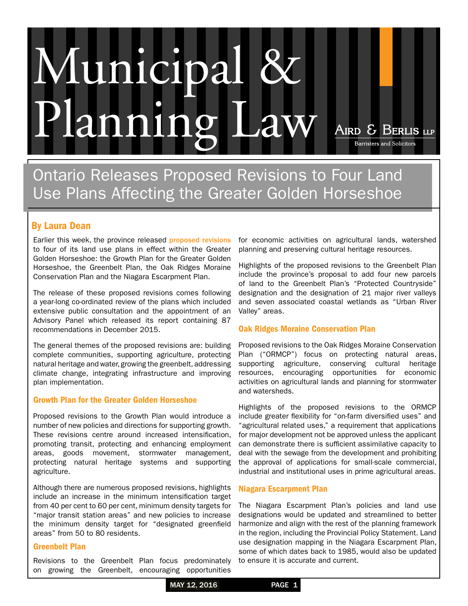# **Inicipa** Planning Law AIRD & BERLIS LLP **Barristers and Solicitors**

Ontario Releases Proposed Revisions to Four Land Use Plans Affecting the Greater Golden Horseshoe

# By [Laura Dean](http://www.airdberlis.com/bio/Laura-Dean)

Earlier this week, the province released [proposed revisions](http://www.mah.gov.on.ca/Page10882.aspx) to four of its land use plans in effect within the Greater Golden Horseshoe: the Growth Plan for the Greater Golden Horseshoe, the Greenbelt Plan, the Oak Ridges Moraine Conservation Plan and the Niagara Escarpment Plan.

The release of these proposed revisions comes following a year-long co-ordinated review of the plans which included extensive public consultation and the appointment of an Advisory Panel which released its report containing 87 recommendations in December 2015.

The general themes of the proposed revisions are: building complete communities, supporting agriculture, protecting natural heritage and water, growing the greenbelt, addressing climate change, integrating infrastructure and improving plan implementation.

## Growth Plan for the Greater Golden Horseshoe

Proposed revisions to the Growth Plan would introduce a number of new policies and directions for supporting growth. These revisions centre around increased intensification, promoting transit, protecting and enhancing employment areas, goods movement, stormwater management, protecting natural heritage systems and supporting agriculture.

Although there are numerous proposed revisions, highlights include an increase in the minimum intensification target from 40 per cent to 60 per cent, minimum density targets for "major transit station areas" and new policies to increase the minimum density target for "designated greenfield areas" from 50 to 80 residents.

#### Greenbelt Plan

Revisions to the Greenbelt Plan focus predominately on growing the Greenbelt, encouraging opportunities

for economic activities on agricultural lands, watershed planning and preserving cultural heritage resources.

Highlights of the proposed revisions to the Greenbelt Plan include the province's proposal to add four new parcels of land to the Greenbelt Plan's "Protected Countryside" designation and the designation of 21 major river valleys and seven associated coastal wetlands as "Urban River Valley" areas.

## Oak Ridges Moraine Conservation Plan

Proposed revisions to the Oak Ridges Moraine Conservation Plan ("ORMCP") focus on protecting natural areas, supporting agriculture, conserving cultural heritage resources, encouraging opportunities for economic activities on agricultural lands and planning for stormwater and watersheds.

Highlights of the proposed revisions to the ORMCP include greater flexibility for "on-farm diversified uses" and "agricultural related uses," a requirement that applications for major development not be approved unless the applicant can demonstrate there is sufficient assimilative capacity to deal with the sewage from the development and prohibiting the approval of applications for small-scale commercial, industrial and institutional uses in prime agricultural areas.

## Niagara Escarpment Plan

The Niagara Escarpment Plan's policies and land use designations would be updated and streamlined to better harmonize and align with the rest of the planning framework in the region, including the Provincial Policy Statement. Land use designation mapping in the Niagara Escarpment Plan, some of which dates back to 1985, would also be updated to ensure it is accurate and current.